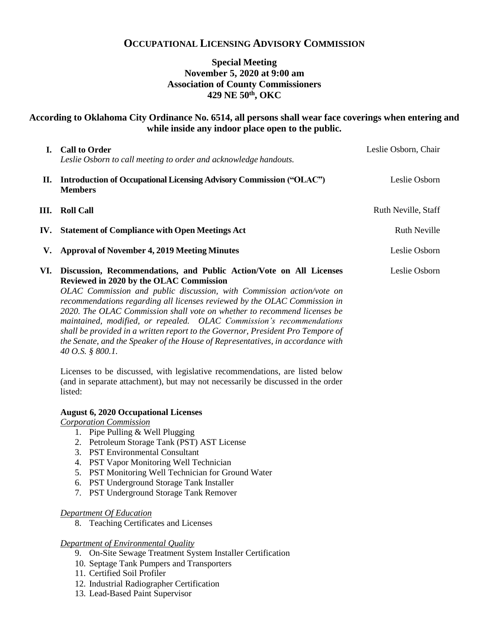# **OCCUPATIONAL LICENSING ADVISORY COMMISSION**

# **Special Meeting November 5, 2020 at 9:00 am Association of County Commissioners 429 NE 50th, OKC**

## **According to Oklahoma City Ordinance No. 6514, all persons shall wear face coverings when entering and while inside any indoor place open to the public.**

| L.  | <b>Call to Order</b><br>Leslie Osborn to call meeting to order and acknowledge handouts.                                                                                                                                                                                 | Leslie Osborn, Chair |
|-----|--------------------------------------------------------------------------------------------------------------------------------------------------------------------------------------------------------------------------------------------------------------------------|----------------------|
|     | II. Introduction of Occupational Licensing Advisory Commission ("OLAC")<br><b>Members</b>                                                                                                                                                                                | Leslie Osborn        |
| Ш.  | <b>Roll Call</b>                                                                                                                                                                                                                                                         | Ruth Neville, Staff  |
| IV. | <b>Statement of Compliance with Open Meetings Act</b>                                                                                                                                                                                                                    | <b>Ruth Neville</b>  |
|     | V. Approval of November 4, 2019 Meeting Minutes                                                                                                                                                                                                                          | Leslie Osborn        |
|     | VI. Discussion, Recommendations, and Public Action/Vote on All Licenses<br>Reviewed in 2020 by the OLAC Commission<br>OLAC Commission and public discussion, with Commission action/vote on<br>recommendations regarding all licenses reviewed by the OLAC Commission in | Leslie Osborn        |

*recommendations regarding all licenses reviewed by the OLAC Commission in 2020. The OLAC Commission shall vote on whether to recommend licenses be maintained, modified, or repealed. OLAC Commission's recommendations shall be provided in a written report to the Governor, President Pro Tempore of the Senate, and the Speaker of the House of Representatives, in accordance with 40 O.S. § 800.1.* 

Licenses to be discussed, with legislative recommendations, are listed below (and in separate attachment), but may not necessarily be discussed in the order listed:

#### **August 6, 2020 Occupational Licenses**

*Corporation Commission*

- 1. Pipe Pulling & Well Plugging
- 2. Petroleum Storage Tank (PST) AST License
- 3. PST Environmental Consultant
- 4. PST Vapor Monitoring Well Technician
- 5. PST Monitoring Well Technician for Ground Water
- 6. PST Underground Storage Tank Installer
- 7. PST Underground Storage Tank Remover

#### *Department Of Education*

8. Teaching Certificates and Licenses

#### *Department of Environmental Quality*

- 9. On-Site Sewage Treatment System Installer Certification
- 10. Septage Tank Pumpers and Transporters
- 11. Certified Soil Profiler
- 12. Industrial Radiographer Certification
- 13. Lead-Based Paint Supervisor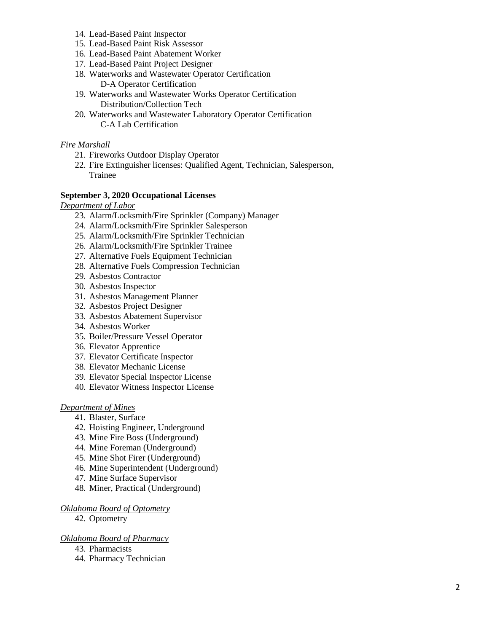- 14. Lead-Based Paint Inspector
- 15. Lead-Based Paint Risk Assessor
- 16. Lead-Based Paint Abatement Worker
- 17. Lead-Based Paint Project Designer
- 18. Waterworks and Wastewater Operator Certification D-A Operator Certification
- 19. Waterworks and Wastewater Works Operator Certification Distribution/Collection Tech
- 20. Waterworks and Wastewater Laboratory Operator Certification C-A Lab Certification

### *Fire Marshall*

- 21. Fireworks Outdoor Display Operator
- 22. Fire Extinguisher licenses: Qualified Agent, Technician, Salesperson, Trainee

#### **September 3, 2020 Occupational Licenses**

*Department of Labor*

- 23. Alarm/Locksmith/Fire Sprinkler (Company) Manager
- 24. Alarm/Locksmith/Fire Sprinkler Salesperson
- 25. Alarm/Locksmith/Fire Sprinkler Technician
- 26. Alarm/Locksmith/Fire Sprinkler Trainee
- 27. Alternative Fuels Equipment Technician
- 28. Alternative Fuels Compression Technician
- 29. Asbestos Contractor
- 30. Asbestos Inspector
- 31. Asbestos Management Planner
- 32. Asbestos Project Designer
- 33. Asbestos Abatement Supervisor
- 34. Asbestos Worker
- 35. Boiler/Pressure Vessel Operator
- 36. Elevator Apprentice
- 37. Elevator Certificate Inspector
- 38. Elevator Mechanic License
- 39. Elevator Special Inspector License
- 40. Elevator Witness Inspector License

#### *Department of Mines*

- 41. Blaster, Surface
- 42. Hoisting Engineer, Underground
- 43. Mine Fire Boss (Underground)
- 44. Mine Foreman (Underground)
- 45. Mine Shot Firer (Underground)
- 46. Mine Superintendent (Underground)
- 47. Mine Surface Supervisor
- 48. Miner, Practical (Underground)

#### *Oklahoma Board of Optometry*

42. Optometry

#### *Oklahoma Board of Pharmacy*

- 43. Pharmacists
- 44. Pharmacy Technician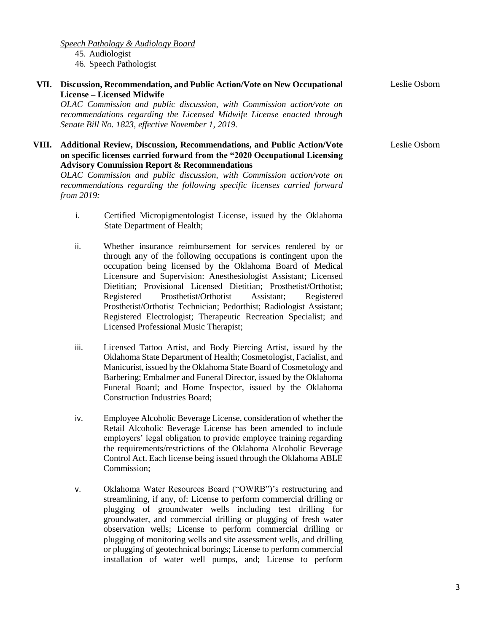*Speech Pathology & Audiology Board* 45. Audiologist 46. Speech Pathologist

**VII. Discussion, Recommendation, and Public Action/Vote on New Occupational License – Licensed Midwife**

*OLAC Commission and public discussion, with Commission action/vote on recommendations regarding the Licensed Midwife License enacted through Senate Bill No. 1823, effective November 1, 2019.*

#### **VIII. Additional Review, Discussion, Recommendations, and Public Action/Vote on specific licenses carried forward from the "2020 Occupational Licensing Advisory Commission Report & Recommendations**

*OLAC Commission and public discussion, with Commission action/vote on recommendations regarding the following specific licenses carried forward from 2019:*

- i. Certified Micropigmentologist License, issued by the Oklahoma State Department of Health;
- ii. Whether insurance reimbursement for services rendered by or through any of the following occupations is contingent upon the occupation being licensed by the Oklahoma Board of Medical Licensure and Supervision: Anesthesiologist Assistant; Licensed Dietitian; Provisional Licensed Dietitian; Prosthetist/Orthotist; Registered Prosthetist/Orthotist Assistant; Registered Prosthetist/Orthotist Technician; Pedorthist; Radiologist Assistant; Registered Electrologist; Therapeutic Recreation Specialist; and Licensed Professional Music Therapist;
- iii. Licensed Tattoo Artist, and Body Piercing Artist, issued by the Oklahoma State Department of Health; Cosmetologist, Facialist, and Manicurist, issued by the Oklahoma State Board of Cosmetology and Barbering; Embalmer and Funeral Director, issued by the Oklahoma Funeral Board; and Home Inspector, issued by the Oklahoma Construction Industries Board;
- iv. Employee Alcoholic Beverage License, consideration of whether the Retail Alcoholic Beverage License has been amended to include employers' legal obligation to provide employee training regarding the requirements/restrictions of the Oklahoma Alcoholic Beverage Control Act. Each license being issued through the Oklahoma ABLE Commission;
- v. Oklahoma Water Resources Board ("OWRB")'s restructuring and streamlining, if any, of: License to perform commercial drilling or plugging of groundwater wells including test drilling for groundwater, and commercial drilling or plugging of fresh water observation wells; License to perform commercial drilling or plugging of monitoring wells and site assessment wells, and drilling or plugging of geotechnical borings; License to perform commercial installation of water well pumps, and; License to perform

Leslie Osborn

Leslie Osborn